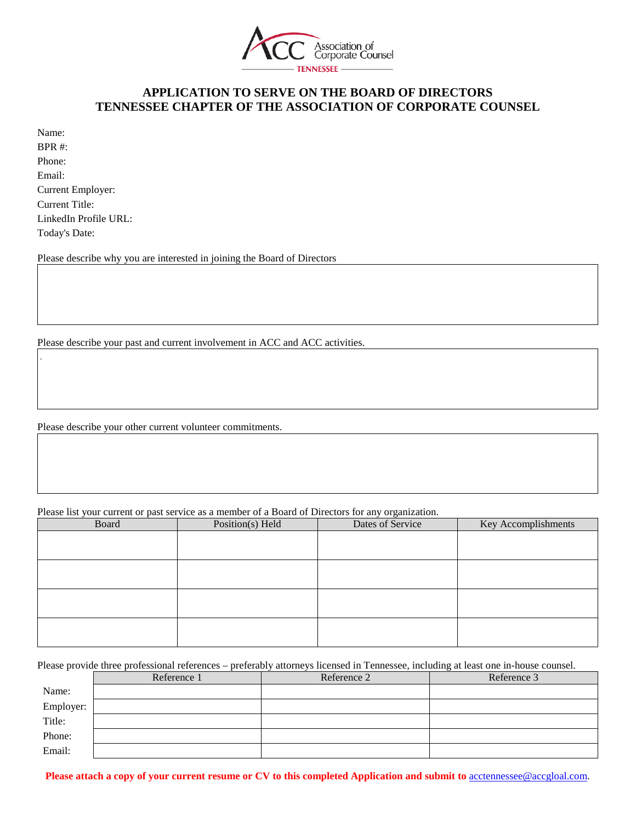

### **APPLICATION TO SERVE ON THE BOARD OF DIRECTORS TENNESSEE CHAPTER OF THE ASSOCIATION OF CORPORATE COUNSEL**

| Name:                 |
|-----------------------|
| BPR #:                |
| Phone:                |
| Email:                |
| Current Employer:     |
| Current Title:        |
| LinkedIn Profile URL: |
| Today's Date:         |

.

Please describe why you are interested in joining the Board of Directors

Please describe your past and current involvement in ACC and ACC activities.

Please describe your other current volunteer commitments.

Please list your current or past service as a member of a Board of Directors for any organization.

| Board | Position(s) Held | Dates of Service | Key Accomplishments |
|-------|------------------|------------------|---------------------|
|       |                  |                  |                     |
|       |                  |                  |                     |
|       |                  |                  |                     |
|       |                  |                  |                     |
|       |                  |                  |                     |
|       |                  |                  |                     |
|       |                  |                  |                     |
|       |                  |                  |                     |

Please provide three professional references – preferably attorneys licensed in Tennessee, including at least one in-house counsel.

|           | Reference 1 | Reference 2 | Reference 3 |
|-----------|-------------|-------------|-------------|
| Name:     |             |             |             |
| Employer: |             |             |             |
| Title:    |             |             |             |
| Phone:    |             |             |             |
| Email:    |             |             |             |

**Please attach a copy of your current resume or CV to this completed Application and submit to** [acctennessee@accgloal.com.](mailto:acctennessee@accgloal.com)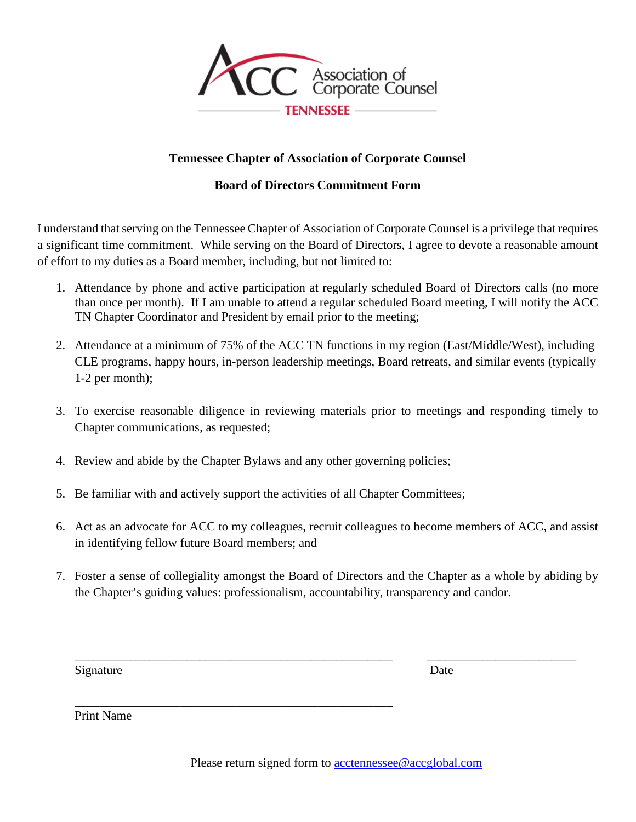

## **Tennessee Chapter of Association of Corporate Counsel**

# **Board of Directors Commitment Form**

I understand that serving on the Tennessee Chapter of Association of Corporate Counsel is a privilege that requires a significant time commitment. While serving on the Board of Directors, I agree to devote a reasonable amount of effort to my duties as a Board member, including, but not limited to:

- 1. Attendance by phone and active participation at regularly scheduled Board of Directors calls (no more than once per month). If I am unable to attend a regular scheduled Board meeting, I will notify the ACC TN Chapter Coordinator and President by email prior to the meeting;
- 2. Attendance at a minimum of 75% of the ACC TN functions in my region (East/Middle/West), including CLE programs, happy hours, in-person leadership meetings, Board retreats, and similar events (typically 1-2 per month);
- 3. To exercise reasonable diligence in reviewing materials prior to meetings and responding timely to Chapter communications, as requested;
- 4. Review and abide by the Chapter Bylaws and any other governing policies;

\_\_\_\_\_\_\_\_\_\_\_\_\_\_\_\_\_\_\_\_\_\_\_\_\_\_\_\_\_\_\_\_\_\_\_\_\_\_\_\_\_\_\_\_\_\_\_\_\_\_\_

- 5. Be familiar with and actively support the activities of all Chapter Committees;
- 6. Act as an advocate for ACC to my colleagues, recruit colleagues to become members of ACC, and assist in identifying fellow future Board members; and
- 7. Foster a sense of collegiality amongst the Board of Directors and the Chapter as a whole by abiding by the Chapter's guiding values: professionalism, accountability, transparency and candor.

\_\_\_\_\_\_\_\_\_\_\_\_\_\_\_\_\_\_\_\_\_\_\_\_\_\_\_\_\_\_\_\_\_\_\_\_\_\_\_\_\_\_\_\_\_\_\_\_\_\_\_ \_\_\_\_\_\_\_\_\_\_\_\_\_\_\_\_\_\_\_\_\_\_\_\_

Signature Date

Print Name

Please return signed form to [acctennessee@accglobal.com](mailto:acctennessee@accglobal.com)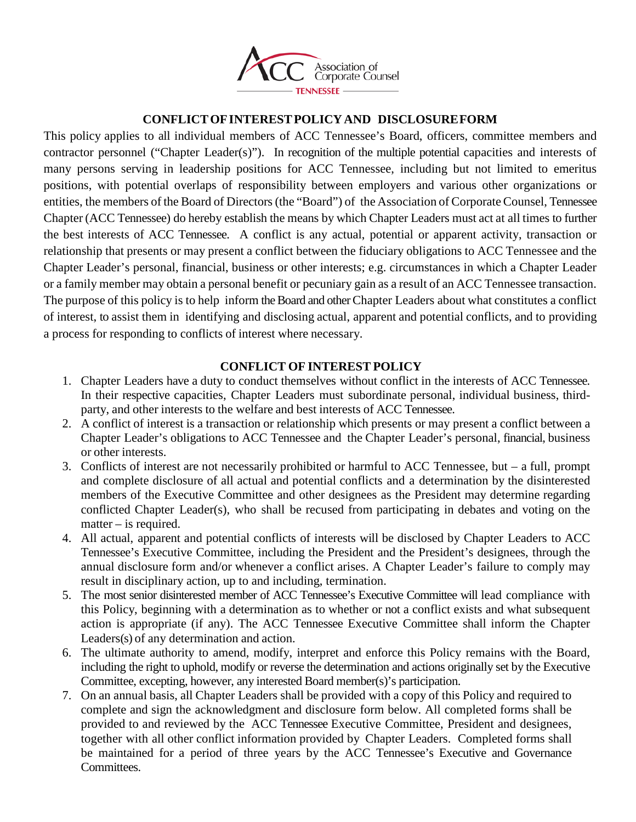

## **CONFLICTOFINTERESTPOLICY AND DISCLOSUREFORM**

This policy applies to all individual members of ACC Tennessee's Board, officers, committee members and contractor personnel ("Chapter Leader(s)"). In recognition of the multiple potential capacities and interests of many persons serving in leadership positions for ACC Tennessee, including but not limited to emeritus positions, with potential overlaps of responsibility between employers and various other organizations or entities, the members of the Board of Directors (the "Board") of the Association of Corporate Counsel, Tennessee Chapter (ACC Tennessee) do hereby establish the means by which Chapter Leaders must act at all times to further the best interests of ACC Tennessee. A conflict is any actual, potential or apparent activity, transaction or relationship that presents or may present a conflict between the fiduciary obligations to ACC Tennessee and the Chapter Leader's personal, financial, business or other interests; e.g. circumstances in which a Chapter Leader or a family member may obtain a personal benefit or pecuniary gain as a result of an ACC Tennessee transaction. The purpose of this policy is to help inform the Board and other Chapter Leaders about what constitutes a conflict of interest, to assist them in identifying and disclosing actual, apparent and potential conflicts, and to providing a process for responding to conflicts of interest where necessary.

### **CONFLICT OF INTEREST POLICY**

- 1. Chapter Leaders have a duty to conduct themselves without conflict in the interests of ACC Tennessee. In their respective capacities, Chapter Leaders must subordinate personal, individual business, thirdparty, and other interests to the welfare and best interests of ACC Tennessee.
- 2. A conflict of interest is a transaction or relationship which presents or may present a conflict between a Chapter Leader's obligations to ACC Tennessee and the Chapter Leader's personal, financial, business or other interests.
- 3. Conflicts of interest are not necessarily prohibited or harmful to ACC Tennessee, but a full, prompt and complete disclosure of all actual and potential conflicts and a determination by the disinterested members of the Executive Committee and other designees as the President may determine regarding conflicted Chapter Leader(s), who shall be recused from participating in debates and voting on the matter – is required.
- 4. All actual, apparent and potential conflicts of interests will be disclosed by Chapter Leaders to ACC Tennessee's Executive Committee, including the President and the President's designees, through the annual disclosure form and/or whenever a conflict arises. A Chapter Leader's failure to comply may result in disciplinary action, up to and including, termination.
- 5. The most senior disinterested member of ACC Tennessee's Executive Committee will lead compliance with this Policy, beginning with a determination as to whether or not a conflict exists and what subsequent action is appropriate (if any). The ACC Tennessee Executive Committee shall inform the Chapter Leaders(s) of any determination and action.
- 6. The ultimate authority to amend, modify, interpret and enforce this Policy remains with the Board, including the right to uphold, modify or reverse the determination and actions originally set by the Executive Committee, excepting, however, any interested Board member(s)'s participation.
- 7. On an annual basis, all Chapter Leaders shall be provided with a copy of this Policy and required to complete and sign the acknowledgment and disclosure form below. All completed forms shall be provided to and reviewed by the ACC Tennessee Executive Committee, President and designees, together with all other conflict information provided by Chapter Leaders. Completed forms shall be maintained for a period of three years by the ACC Tennessee's Executive and Governance Committees.